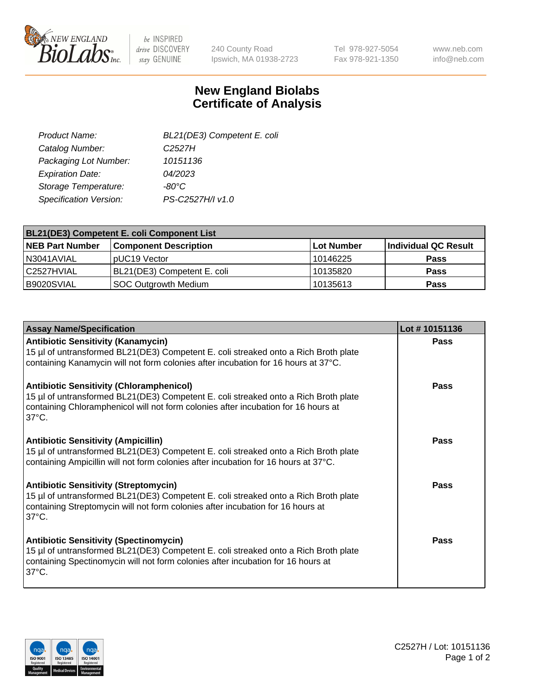

be INSPIRED drive DISCOVERY stay GENUINE

240 County Road Ipswich, MA 01938-2723 Tel 978-927-5054 Fax 978-921-1350 www.neb.com info@neb.com

## **New England Biolabs Certificate of Analysis**

| Product Name:           | BL21(DE3) Competent E. coli |
|-------------------------|-----------------------------|
| Catalog Number:         | C <sub>2527</sub> H         |
| Packaging Lot Number:   | 10151136                    |
| <b>Expiration Date:</b> | 04/2023                     |
| Storage Temperature:    | $-80^{\circ}$ C             |
| Specification Version:  | PS-C2527H/I v1.0            |

| <b>BL21(DE3) Competent E. coli Component List</b> |                              |             |                      |  |
|---------------------------------------------------|------------------------------|-------------|----------------------|--|
| <b>NEB Part Number</b>                            | <b>Component Description</b> | ⊺Lot Number | Individual QC Result |  |
| I N3041AVIAL                                      | pUC19 Vector                 | 10146225    | <b>Pass</b>          |  |
| l C2527HVIAL                                      | BL21(DE3) Competent E. coli  | 10135820    | <b>Pass</b>          |  |
| B9020SVIAL                                        | <b>SOC Outgrowth Medium</b>  | 10135613    | <b>Pass</b>          |  |

| <b>Assay Name/Specification</b>                                                                                                                                                                                                                 | Lot #10151136 |
|-------------------------------------------------------------------------------------------------------------------------------------------------------------------------------------------------------------------------------------------------|---------------|
| <b>Antibiotic Sensitivity (Kanamycin)</b><br>15 µl of untransformed BL21(DE3) Competent E. coli streaked onto a Rich Broth plate<br>containing Kanamycin will not form colonies after incubation for 16 hours at 37°C.                          | <b>Pass</b>   |
| <b>Antibiotic Sensitivity (Chloramphenicol)</b><br>15 µl of untransformed BL21(DE3) Competent E. coli streaked onto a Rich Broth plate<br>containing Chloramphenicol will not form colonies after incubation for 16 hours at<br>$37^{\circ}$ C. | Pass          |
| <b>Antibiotic Sensitivity (Ampicillin)</b><br>15 µl of untransformed BL21(DE3) Competent E. coli streaked onto a Rich Broth plate<br>containing Ampicillin will not form colonies after incubation for 16 hours at 37°C.                        | Pass          |
| <b>Antibiotic Sensitivity (Streptomycin)</b><br>15 µl of untransformed BL21(DE3) Competent E. coli streaked onto a Rich Broth plate<br>containing Streptomycin will not form colonies after incubation for 16 hours at<br>$37^{\circ}$ C.       | <b>Pass</b>   |
| <b>Antibiotic Sensitivity (Spectinomycin)</b><br>15 µl of untransformed BL21(DE3) Competent E. coli streaked onto a Rich Broth plate<br>containing Spectinomycin will not form colonies after incubation for 16 hours at<br>$37^{\circ}$ C.     | Pass          |